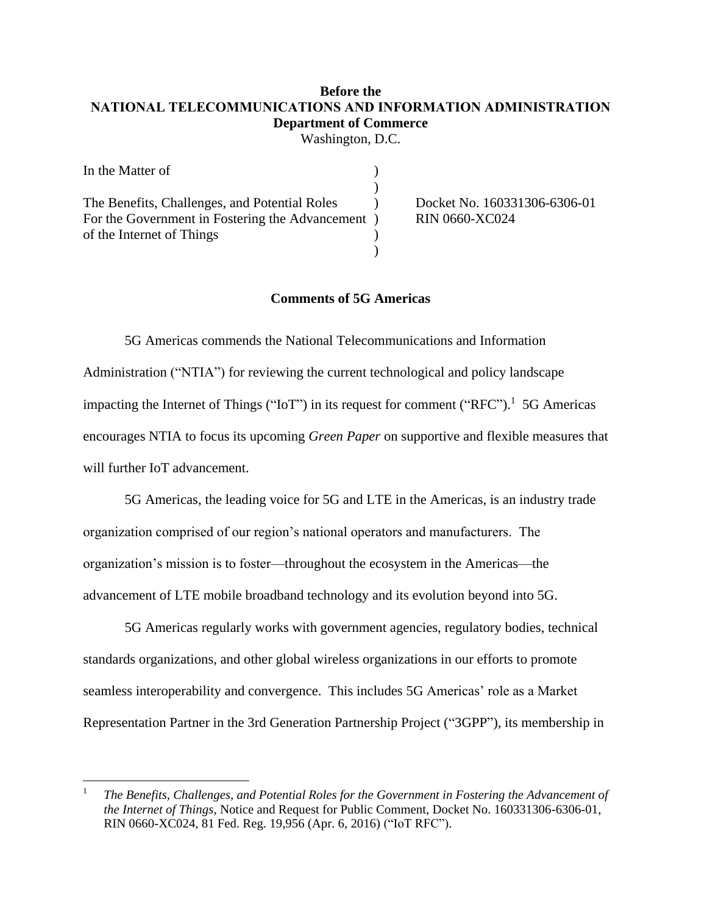# **Before the NATIONAL TELECOMMUNICATIONS AND INFORMATION ADMINISTRATION Department of Commerce**

Washington, D.C.

| In the Matter of                                  |                              |
|---------------------------------------------------|------------------------------|
|                                                   |                              |
| The Benefits, Challenges, and Potential Roles     | Docket No. 160331306-6306-01 |
| For the Government in Fostering the Advancement ) | <b>RIN 0660-XC024</b>        |
| of the Internet of Things                         |                              |
|                                                   |                              |

# **Comments of 5G Americas**

5G Americas commends the National Telecommunications and Information Administration ("NTIA") for reviewing the current technological and policy landscape impacting the Internet of Things ("IoT") in its request for comment ("RFC").<sup>1</sup> 5G Americas encourages NTIA to focus its upcoming *Green Paper* on supportive and flexible measures that will further IoT advancement.

5G Americas, the leading voice for 5G and LTE in the Americas, is an industry trade organization comprised of our region's national operators and manufacturers. The organization's mission is to foster—throughout the ecosystem in the Americas—the advancement of LTE mobile broadband technology and its evolution beyond into 5G.

5G Americas regularly works with government agencies, regulatory bodies, technical standards organizations, and other global wireless organizations in our efforts to promote seamless interoperability and convergence. This includes 5G Americas' role as a Market Representation Partner in the 3rd Generation Partnership Project ("3GPP"), its membership in

 $\overline{\phantom{a}}$ 

<sup>1</sup> *The Benefits, Challenges, and Potential Roles for the Government in Fostering the Advancement of the Internet of Things*, Notice and Request for Public Comment, Docket No. 160331306-6306-01, RIN 0660-XC024, 81 Fed. Reg. 19,956 (Apr. 6, 2016) ("IoT RFC").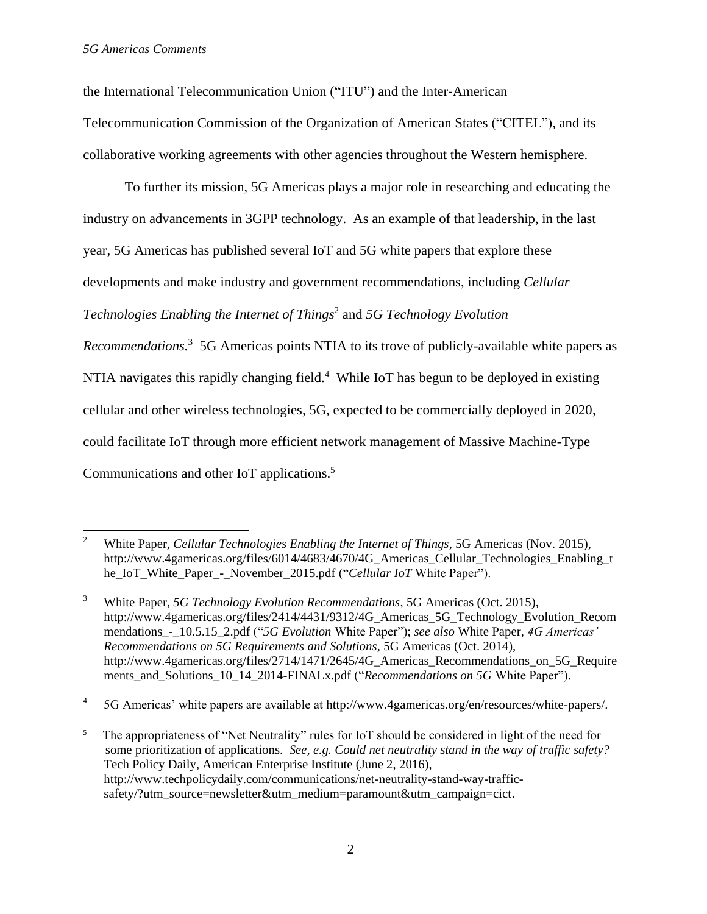the International Telecommunication Union ("ITU") and the Inter-American

Telecommunication Commission of the Organization of American States ("CITEL"), and its collaborative working agreements with other agencies throughout the Western hemisphere.

To further its mission, 5G Americas plays a major role in researching and educating the industry on advancements in 3GPP technology. As an example of that leadership, in the last year, 5G Americas has published several IoT and 5G white papers that explore these developments and make industry and government recommendations, including *Cellular Technologies Enabling the Internet of Things*<sup>2</sup> and *5G Technology Evolution Recommendations.* <sup>3</sup> 5G Americas points NTIA to its trove of publicly-available white papers as

NTIA navigates this rapidly changing field.<sup>4</sup> While IoT has begun to be deployed in existing

cellular and other wireless technologies, 5G, expected to be commercially deployed in 2020,

could facilitate IoT through more efficient network management of Massive Machine-Type

Communications and other IoT applications. 5

4 5G Americas' white papers are available at http://www.4gamericas.org/en/resources/white-papers/.

 $\overline{2}$ <sup>2</sup> White Paper, *Cellular Technologies Enabling the Internet of Things*, 5G Americas (Nov. 2015), http://www.4gamericas.org/files/6014/4683/4670/4G\_Americas\_Cellular\_Technologies\_Enabling\_t he\_IoT\_White\_Paper -\_November\_2015.pdf ("*Cellular IoT* White Paper").

<sup>3</sup> White Paper, *5G Technology Evolution Recommendations*, 5G Americas (Oct. 2015), http://www.4gamericas.org/files/2414/4431/9312/4G\_Americas\_5G\_Technology\_Evolution\_Recom mendations\_-\_10.5.15\_2.pdf ("*5G Evolution* White Paper"); *see also* White Paper, *4G Americas' Recommendations on 5G Requirements and Solutions*, 5G Americas (Oct. 2014), http://www.4gamericas.org/files/2714/1471/2645/4G Americas Recommendations on 5G Require ments and Solutions 10\_14\_2014-FINALx.pdf ("*Recommendations on 5G* White Paper").

<sup>5</sup> The appropriateness of "Net Neutrality" rules for IoT should be considered in light of the need for some prioritization of applications. *See, e.g. Could net neutrality stand in the way of traffic safety?* Tech Policy Daily, American Enterprise Institute (June 2, 2016), http://www.techpolicydaily.com/communications/net-neutrality-stand-way-trafficsafety/?utm\_source=newsletter&utm\_medium=paramount&utm\_campaign=cict.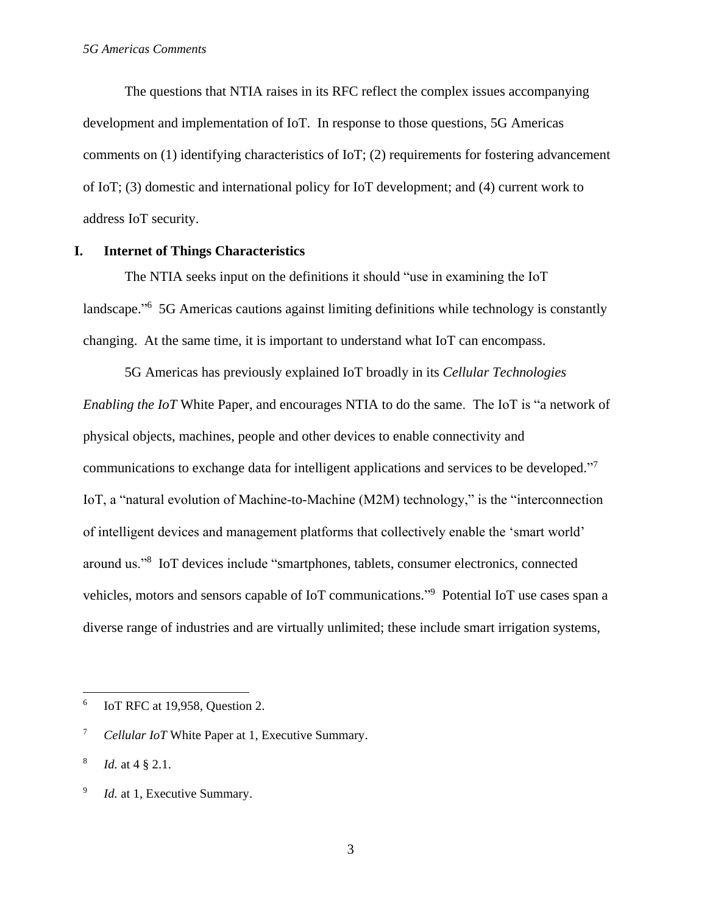The questions that NTIA raises in its RFC reflect the complex issues accompanying development and implementation of IoT. In response to those questions, 5G Americas comments on (1) identifying characteristics of IoT; (2) requirements for fostering advancement of IoT; (3) domestic and international policy for IoT development; and (4) current work to address IoT security.

#### **I. Internet of Things Characteristics**

The NTIA seeks input on the definitions it should "use in examining the IoT landscape."<sup>6</sup> 5G Americas cautions against limiting definitions while technology is constantly changing. At the same time, it is important to understand what IoT can encompass.

5G Americas has previously explained IoT broadly in its *Cellular Technologies Enabling the IoT* White Paper, and encourages NTIA to do the same. The IoT is "a network of physical objects, machines, people and other devices to enable connectivity and communications to exchange data for intelligent applications and services to be developed."<sup>7</sup> IoT, a "natural evolution of Machine-to-Machine (M2M) technology," is the "interconnection of intelligent devices and management platforms that collectively enable the 'smart world' around us."<sup>8</sup> IoT devices include "smartphones, tablets, consumer electronics, connected vehicles, motors and sensors capable of IoT communications." <sup>9</sup> Potential IoT use cases span a diverse range of industries and are virtually unlimited; these include smart irrigation systems,

 $\overline{\phantom{a}}$ 

<sup>6</sup> IoT RFC at 19,958, Question 2.

<sup>7</sup> *Cellular IoT* White Paper at 1, Executive Summary.

<sup>8</sup> *Id.* at 4 § 2.1.

<sup>9</sup> *Id.* at 1, Executive Summary.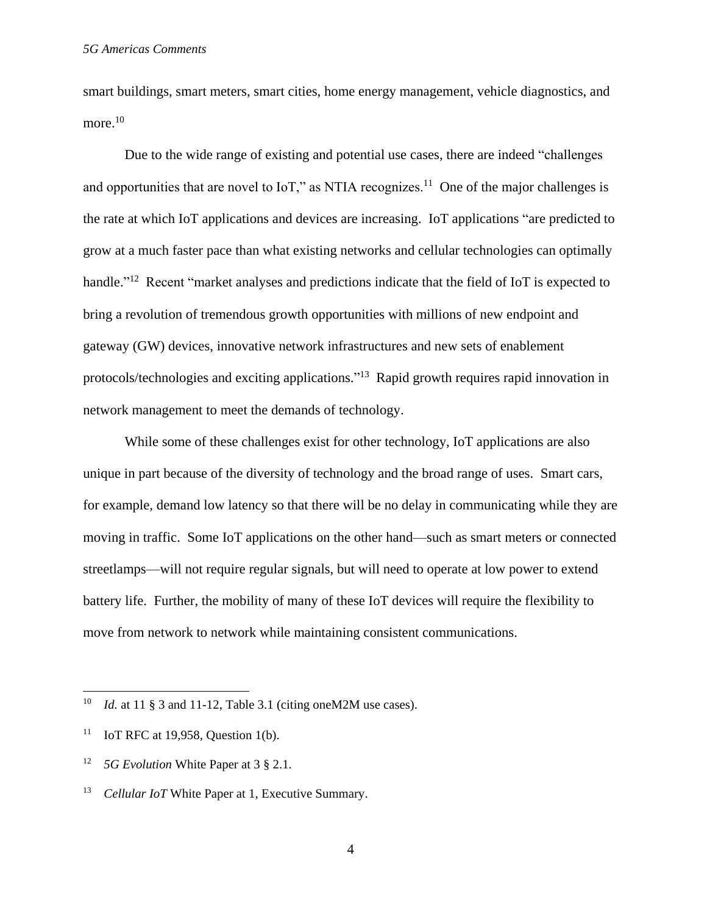smart buildings, smart meters, smart cities, home energy management, vehicle diagnostics, and more. $^{10}$ 

Due to the wide range of existing and potential use cases, there are indeed "challenges and opportunities that are novel to  $I \circ T$ ," as NTIA recognizes.<sup>11</sup> One of the major challenges is the rate at which IoT applications and devices are increasing. IoT applications "are predicted to grow at a much faster pace than what existing networks and cellular technologies can optimally handle."<sup>12</sup> Recent "market analyses and predictions indicate that the field of IoT is expected to bring a revolution of tremendous growth opportunities with millions of new endpoint and gateway (GW) devices, innovative network infrastructures and new sets of enablement protocols/technologies and exciting applications."<sup>13</sup> Rapid growth requires rapid innovation in network management to meet the demands of technology.

While some of these challenges exist for other technology, IoT applications are also unique in part because of the diversity of technology and the broad range of uses. Smart cars, for example, demand low latency so that there will be no delay in communicating while they are moving in traffic. Some IoT applications on the other hand—such as smart meters or connected streetlamps—will not require regular signals, but will need to operate at low power to extend battery life. Further, the mobility of many of these IoT devices will require the flexibility to move from network to network while maintaining consistent communications.

 $\overline{\phantom{a}}$ 

4

<sup>&</sup>lt;sup>10</sup> *Id.* at 11 § 3 and 11-12, Table 3.1 (citing one M2M use cases).

<sup>&</sup>lt;sup>11</sup> IoT RFC at 19,958, Question 1(b).

<sup>12</sup> *5G Evolution* White Paper at 3 § 2.1.

<sup>&</sup>lt;sup>13</sup> *Cellular IoT* White Paper at 1, Executive Summary.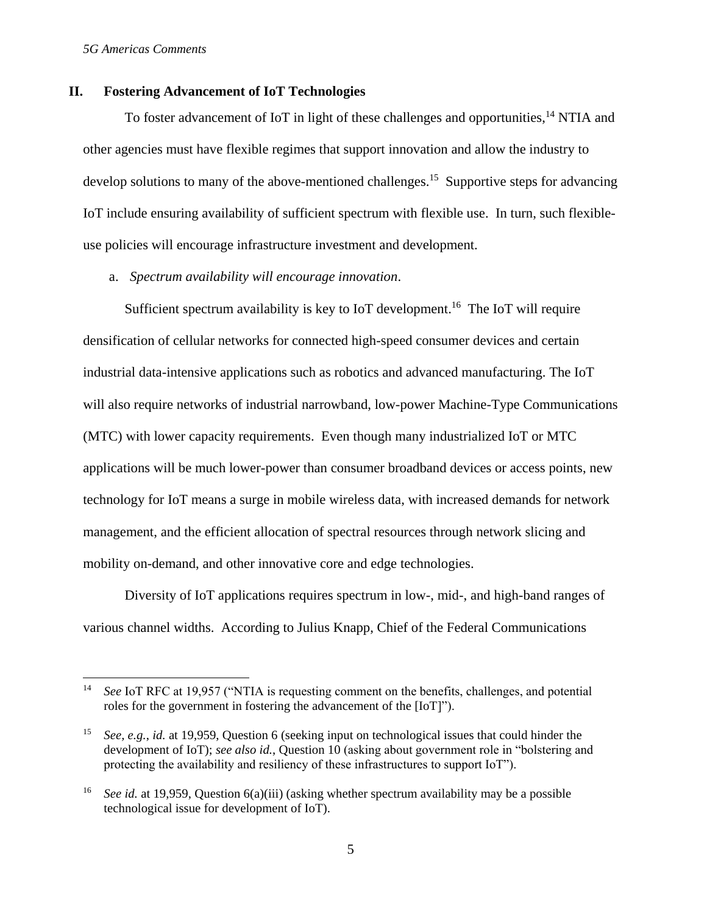#### *5G Americas Comments*

 $\overline{a}$ 

## **II. Fostering Advancement of IoT Technologies**

To foster advancement of IoT in light of these challenges and opportunities,<sup>14</sup> NTIA and other agencies must have flexible regimes that support innovation and allow the industry to develop solutions to many of the above-mentioned challenges.<sup>15</sup> Supportive steps for advancing IoT include ensuring availability of sufficient spectrum with flexible use. In turn, such flexibleuse policies will encourage infrastructure investment and development.

a. *Spectrum availability will encourage innovation*.

Sufficient spectrum availability is key to IoT development.<sup>16</sup> The IoT will require densification of cellular networks for connected high-speed consumer devices and certain industrial data-intensive applications such as robotics and advanced manufacturing. The IoT will also require networks of industrial narrowband, low-power Machine-Type Communications (MTC) with lower capacity requirements. Even though many industrialized IoT or MTC applications will be much lower-power than consumer broadband devices or access points, new technology for IoT means a surge in mobile wireless data, with increased demands for network management, and the efficient allocation of spectral resources through network slicing and mobility on-demand, and other innovative core and edge technologies.

Diversity of IoT applications requires spectrum in low-, mid-, and high-band ranges of various channel widths. According to Julius Knapp, Chief of the Federal Communications

<sup>&</sup>lt;sup>14</sup> *See* IoT RFC at 19,957 ("NTIA is requesting comment on the benefits, challenges, and potential roles for the government in fostering the advancement of the [IoT]").

<sup>15</sup> *See, e.g.*, *id.* at 19,959, Question 6 (seeking input on technological issues that could hinder the development of IoT); *see also id.*, Question 10 (asking about government role in "bolstering and protecting the availability and resiliency of these infrastructures to support IoT").

<sup>&</sup>lt;sup>16</sup> *See id.* at 19,959, Question 6(a)(iii) (asking whether spectrum availability may be a possible technological issue for development of IoT).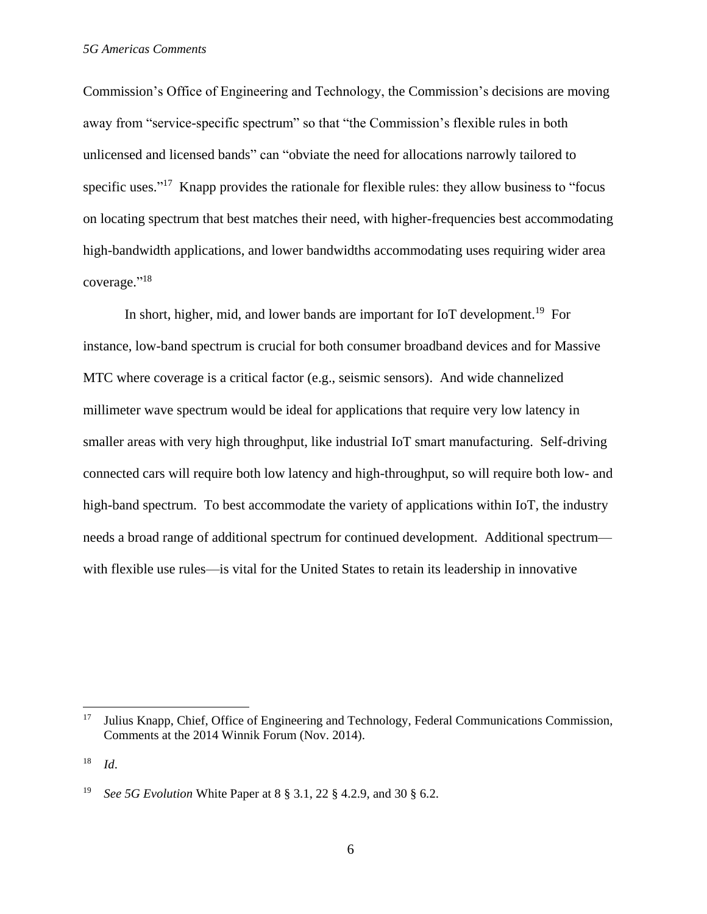Commission's Office of Engineering and Technology, the Commission's decisions are moving away from "service-specific spectrum" so that "the Commission's flexible rules in both unlicensed and licensed bands" can "obviate the need for allocations narrowly tailored to specific uses."<sup>17</sup> Knapp provides the rationale for flexible rules: they allow business to "focus on locating spectrum that best matches their need, with higher-frequencies best accommodating high-bandwidth applications, and lower bandwidths accommodating uses requiring wider area coverage." 18

In short, higher, mid, and lower bands are important for IoT development.<sup>19</sup> For instance, low-band spectrum is crucial for both consumer broadband devices and for Massive MTC where coverage is a critical factor (e.g., seismic sensors). And wide channelized millimeter wave spectrum would be ideal for applications that require very low latency in smaller areas with very high throughput, like industrial IoT smart manufacturing. Self-driving connected cars will require both low latency and high-throughput, so will require both low- and high-band spectrum. To best accommodate the variety of applications within IoT, the industry needs a broad range of additional spectrum for continued development. Additional spectrum with flexible use rules—is vital for the United States to retain its leadership in innovative

 $17\,$ <sup>17</sup> Julius Knapp, Chief, Office of Engineering and Technology, Federal Communications Commission, Comments at the 2014 Winnik Forum (Nov. 2014).

<sup>18</sup> *Id*.

<sup>19</sup> *See 5G Evolution* White Paper at 8 § 3.1, 22 § 4.2.9, and 30 § 6.2.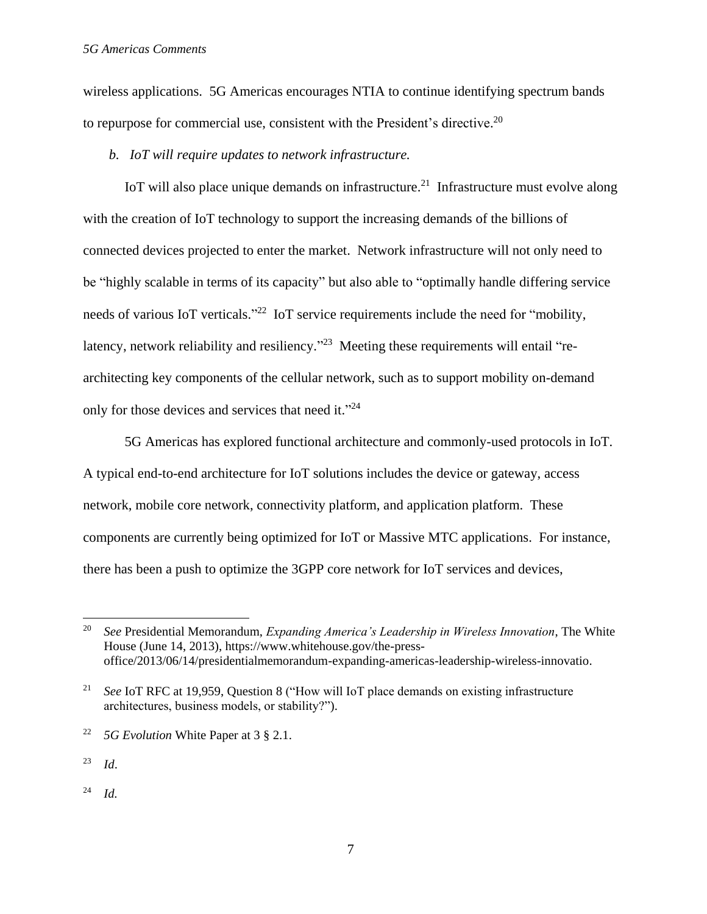wireless applications. 5G Americas encourages NTIA to continue identifying spectrum bands to repurpose for commercial use, consistent with the President's directive.<sup>20</sup>

*b. IoT will require updates to network infrastructure.*

IoT will also place unique demands on infrastructure.<sup>21</sup> Infrastructure must evolve along with the creation of IoT technology to support the increasing demands of the billions of connected devices projected to enter the market. Network infrastructure will not only need to be "highly scalable in terms of its capacity" but also able to "optimally handle differing service needs of various IoT verticals."<sup>22</sup> IoT service requirements include the need for "mobility, latency, network reliability and resiliency."<sup>23</sup> Meeting these requirements will entail "rearchitecting key components of the cellular network, such as to support mobility on-demand only for those devices and services that need it."24

5G Americas has explored functional architecture and commonly-used protocols in IoT. A typical end-to-end architecture for IoT solutions includes the device or gateway, access network, mobile core network, connectivity platform, and application platform. These components are currently being optimized for IoT or Massive MTC applications. For instance, there has been a push to optimize the 3GPP core network for IoT services and devices,

 $\overline{a}$ 

<sup>20</sup> *See* Presidential Memorandum, *Expanding America's Leadership in Wireless Innovation*, The White House (June 14, 2013), https://www.whitehouse.gov/the-pressoffice/2013/06/14/presidentialmemorandum-expanding-americas-leadership-wireless-innovatio.

<sup>21</sup> *See* IoT RFC at 19,959, Question 8 ("How will IoT place demands on existing infrastructure architectures, business models, or stability?").

<sup>22</sup> *5G Evolution* White Paper at 3 § 2.1.

<sup>23</sup> *Id*.

<sup>24</sup> *Id.*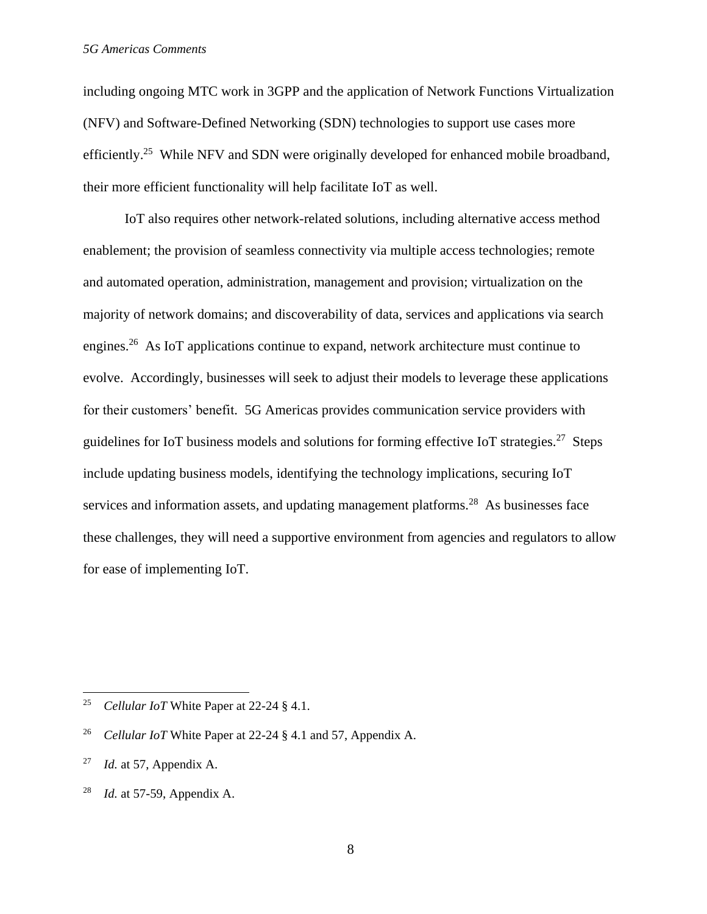including ongoing MTC work in 3GPP and the application of Network Functions Virtualization (NFV) and Software-Defined Networking (SDN) technologies to support use cases more efficiently.<sup>25</sup> While NFV and SDN were originally developed for enhanced mobile broadband, their more efficient functionality will help facilitate IoT as well.

IoT also requires other network-related solutions, including alternative access method enablement; the provision of seamless connectivity via multiple access technologies; remote and automated operation, administration, management and provision; virtualization on the majority of network domains; and discoverability of data, services and applications via search engines.<sup>26</sup> As IoT applications continue to expand, network architecture must continue to evolve. Accordingly, businesses will seek to adjust their models to leverage these applications for their customers' benefit. 5G Americas provides communication service providers with guidelines for IoT business models and solutions for forming effective IoT strategies.<sup>27</sup> Steps include updating business models, identifying the technology implications, securing IoT services and information assets, and updating management platforms.<sup>28</sup> As businesses face these challenges, they will need a supportive environment from agencies and regulators to allow for ease of implementing IoT.

 $\overline{\phantom{a}}$ 

<sup>25</sup> *Cellular IoT* White Paper at 22-24 § 4.1.

<sup>26</sup> *Cellular IoT* White Paper at 22-24 § 4.1 and 57, Appendix A.

<sup>27</sup> *Id.* at 57, Appendix A.

<sup>28</sup> *Id.* at 57-59, Appendix A.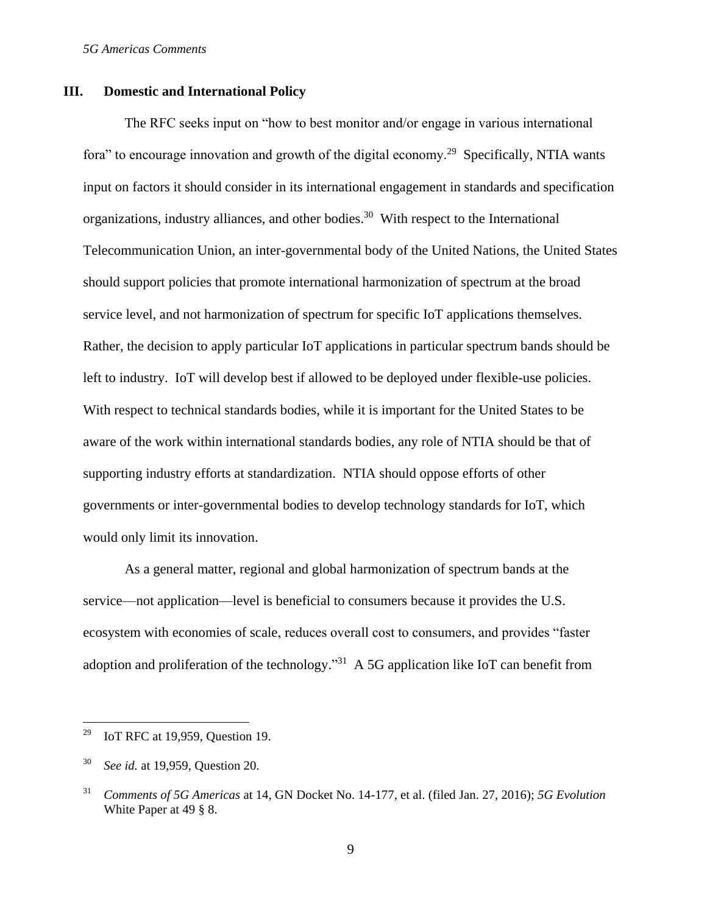## **III. Domestic and International Policy**

The RFC seeks input on "how to best monitor and/or engage in various international fora" to encourage innovation and growth of the digital economy.<sup>29</sup> Specifically, NTIA wants input on factors it should consider in its international engagement in standards and specification organizations, industry alliances, and other bodies. <sup>30</sup> With respect to the International Telecommunication Union, an inter-governmental body of the United Nations, the United States should support policies that promote international harmonization of spectrum at the broad service level, and not harmonization of spectrum for specific IoT applications themselves. Rather, the decision to apply particular IoT applications in particular spectrum bands should be left to industry. IoT will develop best if allowed to be deployed under flexible-use policies. With respect to technical standards bodies, while it is important for the United States to be aware of the work within international standards bodies, any role of NTIA should be that of supporting industry efforts at standardization. NTIA should oppose efforts of other governments or inter-governmental bodies to develop technology standards for IoT, which would only limit its innovation.

As a general matter, regional and global harmonization of spectrum bands at the service—not application—level is beneficial to consumers because it provides the U.S. ecosystem with economies of scale, reduces overall cost to consumers, and provides "faster adoption and proliferation of the technology.<sup>"31</sup> A 5G application like IoT can benefit from

l

<sup>&</sup>lt;sup>29</sup> IoT RFC at 19,959, Question 19.

<sup>30</sup> *See id.* at 19,959, Question 20.

<sup>31</sup> *Comments of 5G Americas* at 14, GN Docket No. 14-177, et al. (filed Jan. 27, 2016); *5G Evolution*  White Paper at 49 § 8.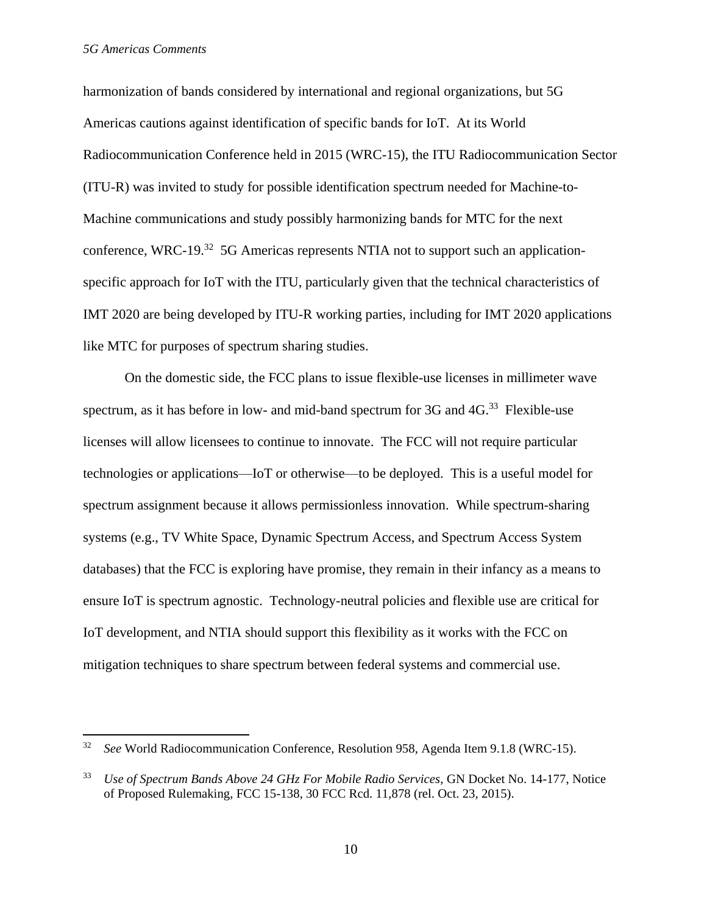$\overline{\phantom{a}}$ 

harmonization of bands considered by international and regional organizations, but 5G Americas cautions against identification of specific bands for IoT. At its World Radiocommunication Conference held in 2015 (WRC-15), the ITU Radiocommunication Sector (ITU-R) was invited to study for possible identification spectrum needed for Machine-to-Machine communications and study possibly harmonizing bands for MTC for the next conference, WRC-19.<sup>32</sup> 5G Americas represents NTIA not to support such an applicationspecific approach for IoT with the ITU, particularly given that the technical characteristics of IMT 2020 are being developed by ITU-R working parties, including for IMT 2020 applications like MTC for purposes of spectrum sharing studies.

On the domestic side, the FCC plans to issue flexible-use licenses in millimeter wave spectrum, as it has before in low- and mid-band spectrum for  $3G$  and  $4G$ <sup>33</sup> Flexible-use licenses will allow licensees to continue to innovate. The FCC will not require particular technologies or applications—IoT or otherwise—to be deployed. This is a useful model for spectrum assignment because it allows permissionless innovation. While spectrum-sharing systems (e.g., TV White Space, Dynamic Spectrum Access, and Spectrum Access System databases) that the FCC is exploring have promise, they remain in their infancy as a means to ensure IoT is spectrum agnostic. Technology-neutral policies and flexible use are critical for IoT development, and NTIA should support this flexibility as it works with the FCC on mitigation techniques to share spectrum between federal systems and commercial use.

<sup>32</sup> *See* World Radiocommunication Conference, Resolution 958, Agenda Item 9.1.8 (WRC-15).

<sup>33</sup> *Use of Spectrum Bands Above 24 GHz For Mobile Radio Services*, GN Docket No. 14-177, Notice of Proposed Rulemaking, FCC 15-138, 30 FCC Rcd. 11,878 (rel. Oct. 23, 2015).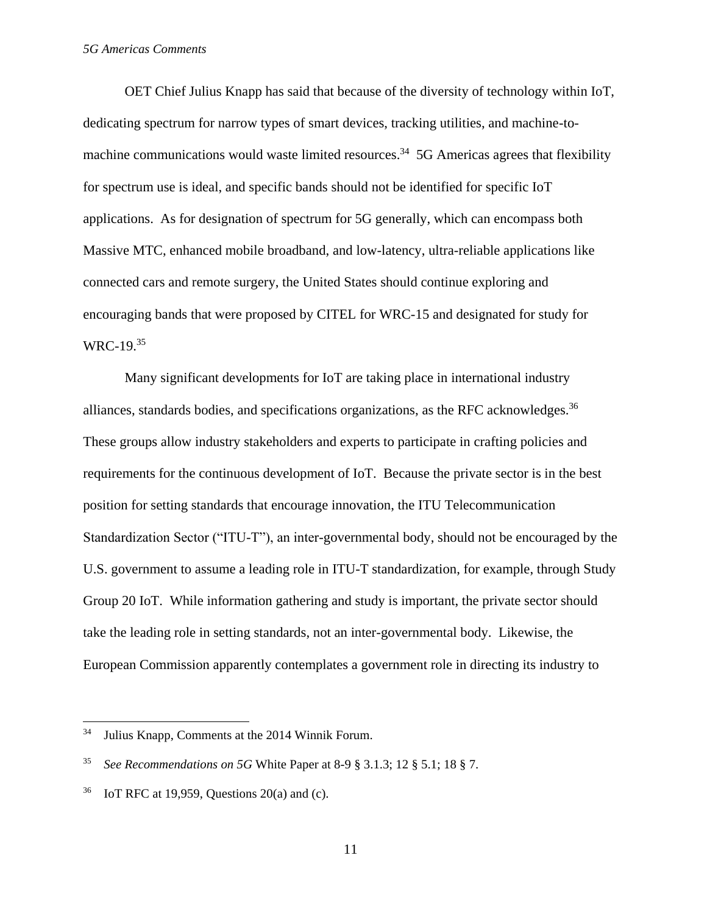OET Chief Julius Knapp has said that because of the diversity of technology within IoT, dedicating spectrum for narrow types of smart devices, tracking utilities, and machine-tomachine communications would waste limited resources.<sup>34</sup> 5G Americas agrees that flexibility for spectrum use is ideal, and specific bands should not be identified for specific IoT applications. As for designation of spectrum for 5G generally, which can encompass both Massive MTC, enhanced mobile broadband, and low-latency, ultra-reliable applications like connected cars and remote surgery, the United States should continue exploring and encouraging bands that were proposed by CITEL for WRC-15 and designated for study for  $WRC-19.<sup>35</sup>$ 

Many significant developments for IoT are taking place in international industry alliances, standards bodies, and specifications organizations, as the RFC acknowledges. $36$ These groups allow industry stakeholders and experts to participate in crafting policies and requirements for the continuous development of IoT. Because the private sector is in the best position for setting standards that encourage innovation, the ITU Telecommunication Standardization Sector ("ITU-T"), an inter-governmental body, should not be encouraged by the U.S. government to assume a leading role in ITU-T standardization, for example, through Study Group 20 IoT. While information gathering and study is important, the private sector should take the leading role in setting standards, not an inter-governmental body. Likewise, the European Commission apparently contemplates a government role in directing its industry to

 $34$ Julius Knapp, Comments at the 2014 Winnik Forum.

<sup>35</sup> *See Recommendations on 5G* White Paper at 8-9 § 3.1.3; 12 § 5.1; 18 § 7.

 $36$  IoT RFC at 19,959, Questions 20(a) and (c).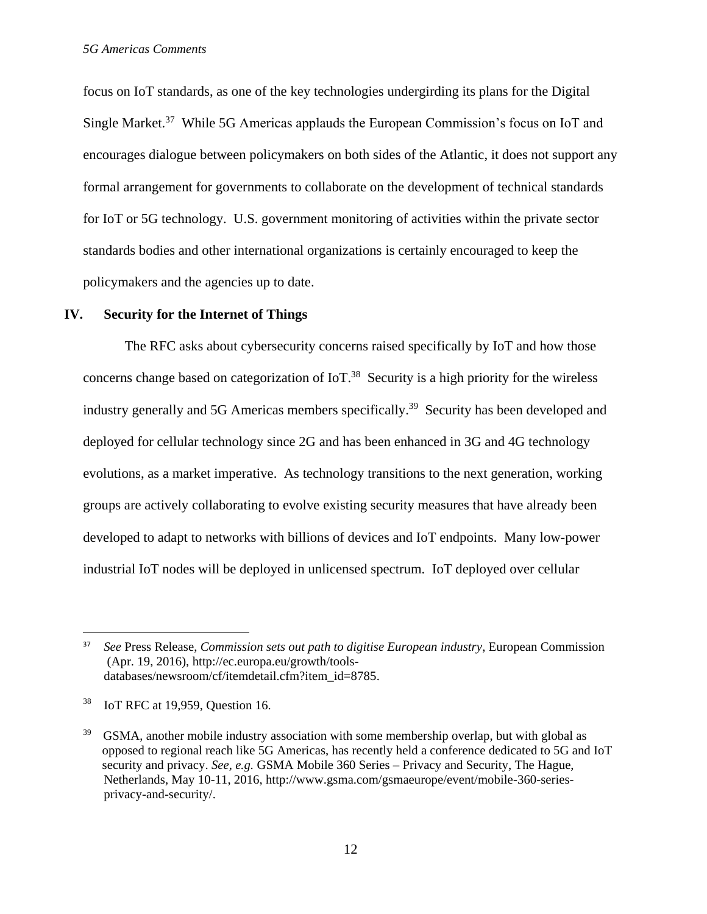focus on IoT standards, as one of the key technologies undergirding its plans for the Digital Single Market.<sup>37</sup> While 5G Americas applauds the European Commission's focus on IoT and encourages dialogue between policymakers on both sides of the Atlantic, it does not support any formal arrangement for governments to collaborate on the development of technical standards for IoT or 5G technology. U.S. government monitoring of activities within the private sector standards bodies and other international organizations is certainly encouraged to keep the policymakers and the agencies up to date.

#### **IV. Security for the Internet of Things**

The RFC asks about cybersecurity concerns raised specifically by IoT and how those concerns change based on categorization of  $I \circ T$ .<sup>38</sup> Security is a high priority for the wireless industry generally and 5G Americas members specifically.<sup>39</sup> Security has been developed and deployed for cellular technology since 2G and has been enhanced in 3G and 4G technology evolutions, as a market imperative. As technology transitions to the next generation, working groups are actively collaborating to evolve existing security measures that have already been developed to adapt to networks with billions of devices and IoT endpoints. Many low-power industrial IoT nodes will be deployed in unlicensed spectrum. IoT deployed over cellular

l

<sup>37</sup> *See* Press Release, *Commission sets out path to digitise European industry*, European Commission (Apr. 19, 2016), http://ec.europa.eu/growth/toolsdatabases/newsroom/cf/itemdetail.cfm?item\_id=8785.

<sup>38</sup> IoT RFC at 19,959, Question 16.

<sup>39</sup> GSMA, another mobile industry association with some membership overlap, but with global as opposed to regional reach like 5G Americas, has recently held a conference dedicated to 5G and IoT security and privacy. *See, e.g.* GSMA Mobile 360 Series – Privacy and Security, The Hague, Netherlands, May 10-11, 2016, http://www.gsma.com/gsmaeurope/event/mobile-360-seriesprivacy-and-security/.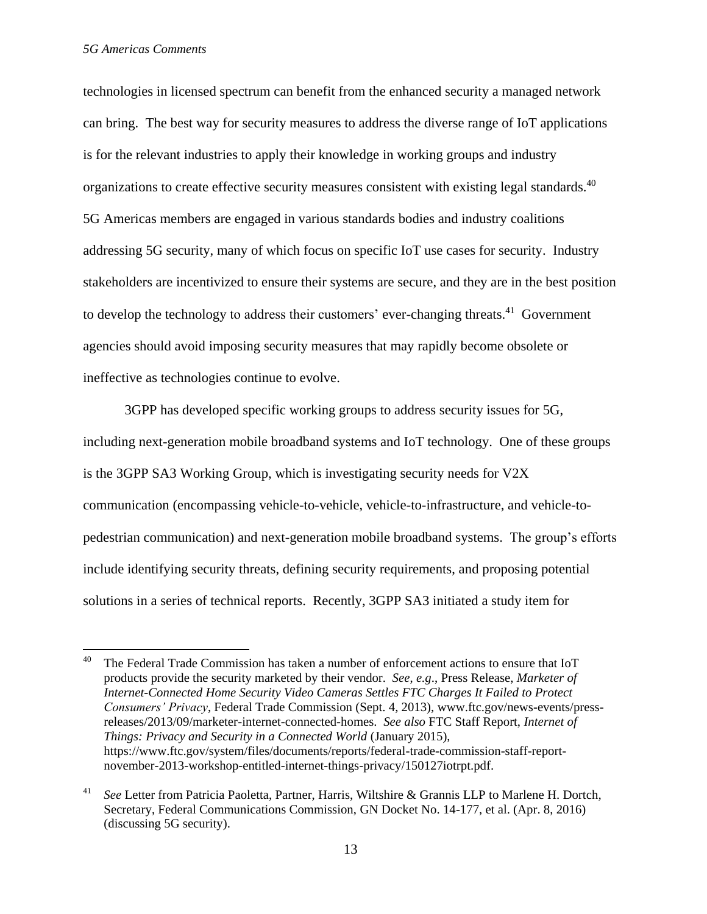$\overline{\phantom{a}}$ 

technologies in licensed spectrum can benefit from the enhanced security a managed network can bring. The best way for security measures to address the diverse range of IoT applications is for the relevant industries to apply their knowledge in working groups and industry organizations to create effective security measures consistent with existing legal standards.<sup>40</sup> 5G Americas members are engaged in various standards bodies and industry coalitions addressing 5G security, many of which focus on specific IoT use cases for security. Industry stakeholders are incentivized to ensure their systems are secure, and they are in the best position to develop the technology to address their customers' ever-changing threats.<sup>41</sup> Government agencies should avoid imposing security measures that may rapidly become obsolete or ineffective as technologies continue to evolve.

3GPP has developed specific working groups to address security issues for 5G, including next-generation mobile broadband systems and IoT technology. One of these groups is the 3GPP SA3 Working Group, which is investigating security needs for V2X communication (encompassing vehicle-to-vehicle, vehicle-to-infrastructure, and vehicle-topedestrian communication) and next-generation mobile broadband systems. The group's efforts include identifying security threats, defining security requirements, and proposing potential solutions in a series of technical reports. Recently, 3GPP SA3 initiated a study item for

<sup>&</sup>lt;sup>40</sup> The Federal Trade Commission has taken a number of enforcement actions to ensure that IoT products provide the security marketed by their vendor. *See*, *e.g*., Press Release, *Marketer of Internet-Connected Home Security Video Cameras Settles FTC Charges It Failed to Protect Consumers' Privacy*, Federal Trade Commission (Sept. 4, 2013), www.ftc.gov/news-events/pressreleases/2013/09/marketer-internet-connected-homes. *See also* FTC Staff Report, *Internet of Things: Privacy and Security in a Connected World* (January 2015), https://www.ftc.gov/system/files/documents/reports/federal-trade-commission-staff-reportnovember-2013-workshop-entitled-internet-things-privacy/150127iotrpt.pdf.

<sup>41</sup> *See* Letter from Patricia Paoletta, Partner, Harris, Wiltshire & Grannis LLP to Marlene H. Dortch*,* Secretary, Federal Communications Commission, GN Docket No. 14-177, et al. (Apr. 8, 2016) (discussing 5G security).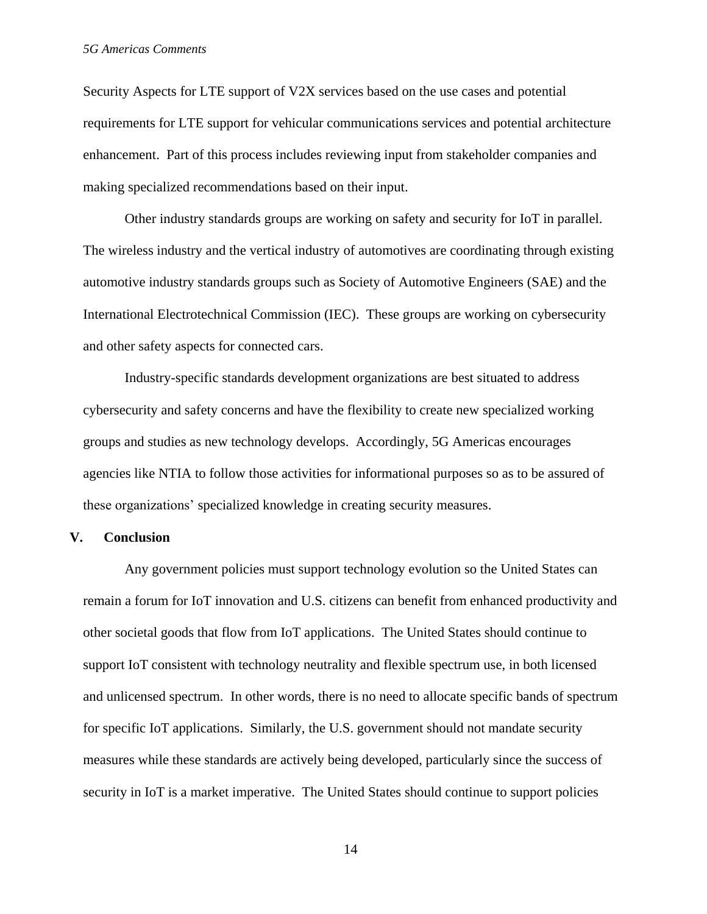Security Aspects for LTE support of V2X services based on the use cases and potential requirements for LTE support for vehicular communications services and potential architecture enhancement. Part of this process includes reviewing input from stakeholder companies and making specialized recommendations based on their input.

Other industry standards groups are working on safety and security for IoT in parallel. The wireless industry and the vertical industry of automotives are coordinating through existing automotive industry standards groups such as Society of Automotive Engineers (SAE) and the International Electrotechnical Commission (IEC). These groups are working on cybersecurity and other safety aspects for connected cars.

Industry-specific standards development organizations are best situated to address cybersecurity and safety concerns and have the flexibility to create new specialized working groups and studies as new technology develops. Accordingly, 5G Americas encourages agencies like NTIA to follow those activities for informational purposes so as to be assured of these organizations' specialized knowledge in creating security measures.

#### **V. Conclusion**

Any government policies must support technology evolution so the United States can remain a forum for IoT innovation and U.S. citizens can benefit from enhanced productivity and other societal goods that flow from IoT applications. The United States should continue to support IoT consistent with technology neutrality and flexible spectrum use, in both licensed and unlicensed spectrum. In other words, there is no need to allocate specific bands of spectrum for specific IoT applications. Similarly, the U.S. government should not mandate security measures while these standards are actively being developed, particularly since the success of security in IoT is a market imperative. The United States should continue to support policies

14